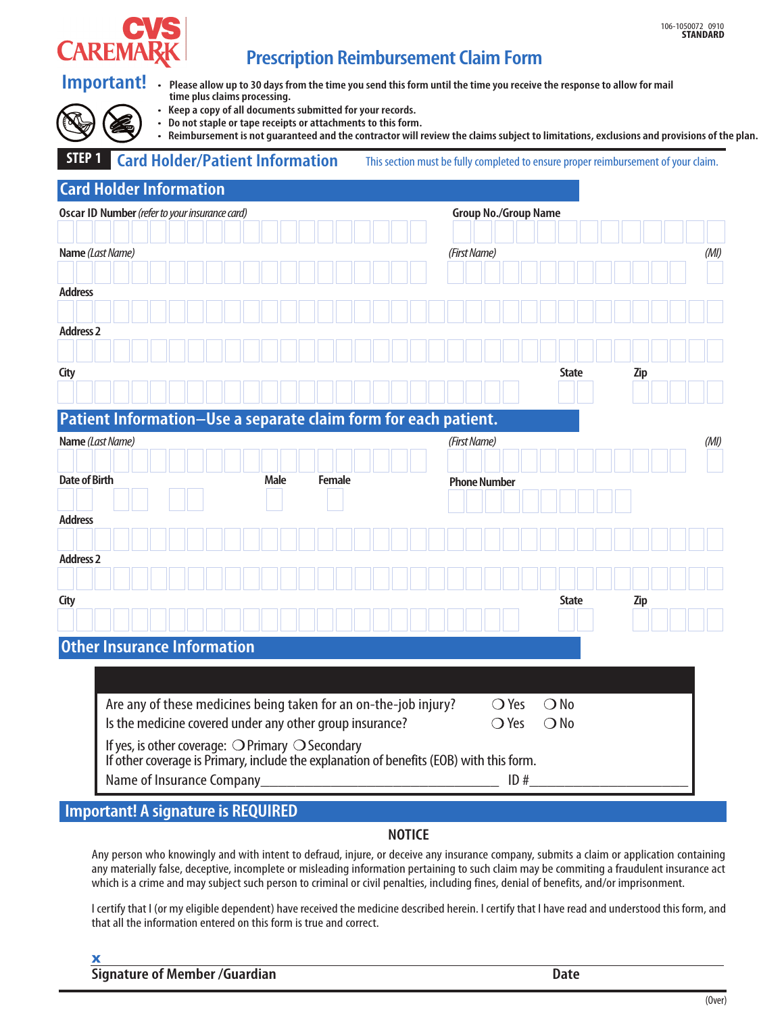

## **Prescription Reimbursement Claim Form**

| Important!<br>time plus claims processing.<br>• Keep a copy of all documents submitted for your records.<br>• Do not staple or tape receipts or attachments to this form. | • Please allow up to 30 days from the time you send this form until the time you receive the response to allow for mail                                                                                                          |
|---------------------------------------------------------------------------------------------------------------------------------------------------------------------------|----------------------------------------------------------------------------------------------------------------------------------------------------------------------------------------------------------------------------------|
| STEP <sub>1</sub><br><b>Card Holder/Patient Information</b>                                                                                                               | • Reimbursement is not guaranteed and the contractor will review the claims subject to limitations, exclusions and provisions of the plan.<br>This section must be fully completed to ensure proper reimbursement of your claim. |
| <b>Card Holder Information</b>                                                                                                                                            |                                                                                                                                                                                                                                  |
| Oscar ID Number (refer to your insurance card)                                                                                                                            | <b>Group No./Group Name</b>                                                                                                                                                                                                      |
| Name (Last Name)                                                                                                                                                          | (First Name)<br>(MI)                                                                                                                                                                                                             |
|                                                                                                                                                                           |                                                                                                                                                                                                                                  |
| <b>Address</b>                                                                                                                                                            |                                                                                                                                                                                                                                  |
| <b>Address 2</b>                                                                                                                                                          |                                                                                                                                                                                                                                  |
|                                                                                                                                                                           |                                                                                                                                                                                                                                  |
| City                                                                                                                                                                      | State<br><b>Zip</b>                                                                                                                                                                                                              |
|                                                                                                                                                                           |                                                                                                                                                                                                                                  |
| Patient Information-Use a separate claim form for each patient.                                                                                                           |                                                                                                                                                                                                                                  |
| Name (Last Name)                                                                                                                                                          | (First Name)<br>(MI)                                                                                                                                                                                                             |
| <b>Date of Birth</b><br>Male                                                                                                                                              | <b>Female</b><br><b>Phone Number</b>                                                                                                                                                                                             |
|                                                                                                                                                                           |                                                                                                                                                                                                                                  |
| <b>Address</b>                                                                                                                                                            |                                                                                                                                                                                                                                  |
|                                                                                                                                                                           |                                                                                                                                                                                                                                  |
| <b>Address 2</b>                                                                                                                                                          |                                                                                                                                                                                                                                  |
| City                                                                                                                                                                      | State<br><b>Zip</b>                                                                                                                                                                                                              |
|                                                                                                                                                                           |                                                                                                                                                                                                                                  |
| <b>Other Insurance Information</b>                                                                                                                                        |                                                                                                                                                                                                                                  |
|                                                                                                                                                                           |                                                                                                                                                                                                                                  |
|                                                                                                                                                                           |                                                                                                                                                                                                                                  |
| Are any of these medicines being taken for an on-the-job injury?<br>Is the medicine covered under any other group insurance?                                              | $\bigcirc$ Yes<br>$\bigcirc$ No<br>$\bigcirc$ Yes<br>$\bigcirc$ No                                                                                                                                                               |
| If yes, is other coverage: O Primary O Secondary                                                                                                                          |                                                                                                                                                                                                                                  |
| If other coverage is Primary, include the explanation of benefits (EOB) with this form.                                                                                   |                                                                                                                                                                                                                                  |
|                                                                                                                                                                           |                                                                                                                                                                                                                                  |

### **Important! A signature is REQUIRED**

### **NOTICE**

Any person who knowingly and with intent to defraud, injure, or deceive any insurance company, submits a claim or application containing any materially false, deceptive, incomplete or misleading information pertaining to such claim may be commiting a fraudulent insurance act which is a crime and may subject such person to criminal or civil penalties, including fines, denial of benefits, and/or imprisonment.

I certify that I (or my eligible dependent) have received the medicine described herein. I certify that I have read and understood this form, and that all the information entered on this form is true and correct.

#### **x**

**Signature of Member /Guardian Date**